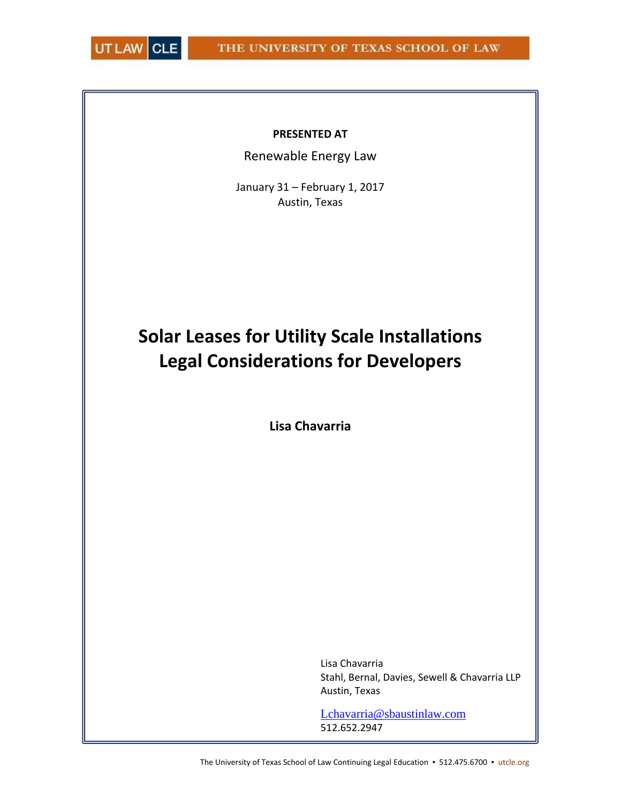#### **PRESENTED AT**

Renewable Energy Law

January 31 – February 1, 2017 Austin, Texas

# **Solar Leases for Utility Scale Installations Legal Considerations for Developers**

**Lisa Chavarria**

Lisa Chavarria Stahl, Bernal, Davies, Sewell & Chavarria LLP Austin, Texas

[Lchavarria@sbaustinlaw.com](mailto:Lchavarria@sbaustinlaw.com) 512.652.2947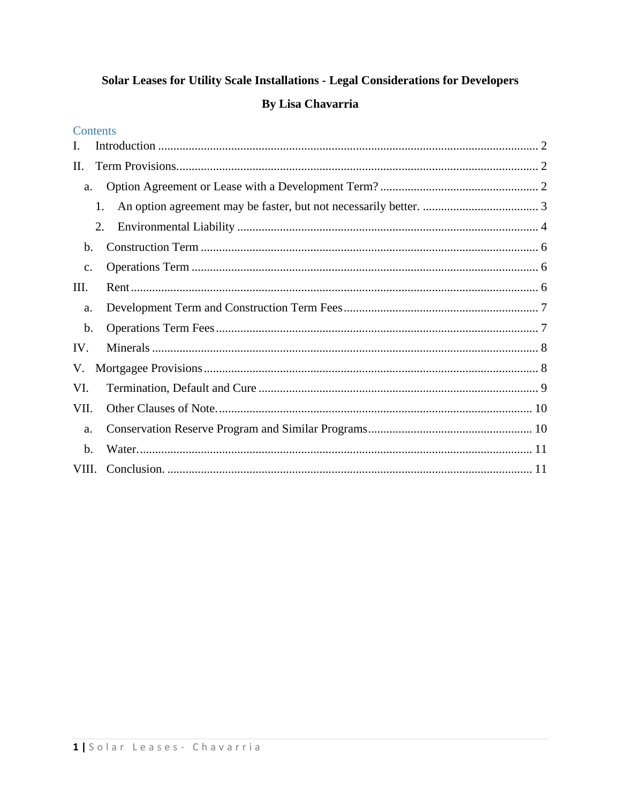# Solar Leases for Utility Scale Installations - Legal Considerations for Developers

# By Lisa Chavarria

| <b>Contents</b> |    |  |
|-----------------|----|--|
| Ι.              |    |  |
| II.             |    |  |
| a.              |    |  |
|                 | 1. |  |
|                 | 2. |  |
| b.              |    |  |
| c.              |    |  |
| Ш.              |    |  |
| a.              |    |  |
| $\mathbf b$ .   |    |  |
| IV.             |    |  |
| V.              |    |  |
| VI.             |    |  |
| VII.            |    |  |
| a.              |    |  |
| $\mathbf b$ .   |    |  |
| VIII.           |    |  |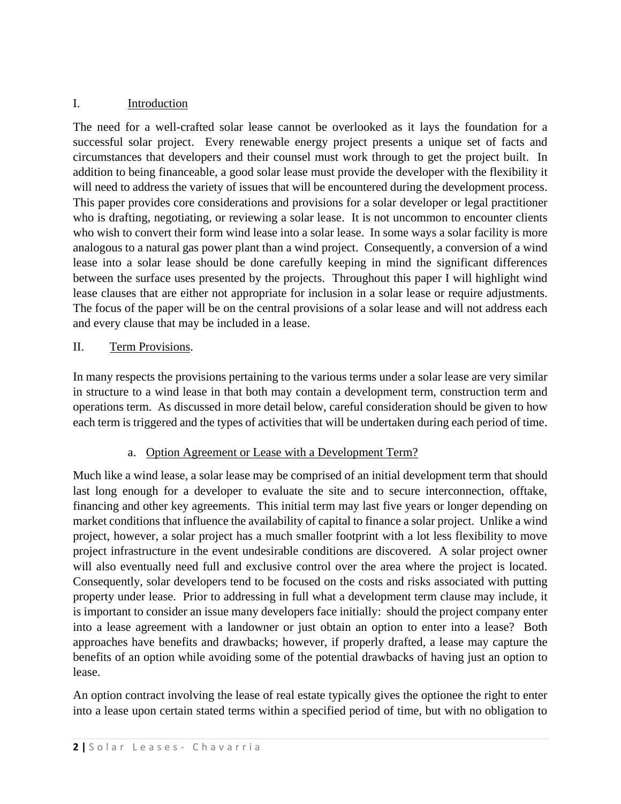## <span id="page-2-0"></span>I. Introduction

The need for a well-crafted solar lease cannot be overlooked as it lays the foundation for a successful solar project. Every renewable energy project presents a unique set of facts and circumstances that developers and their counsel must work through to get the project built. In addition to being financeable, a good solar lease must provide the developer with the flexibility it will need to address the variety of issues that will be encountered during the development process. This paper provides core considerations and provisions for a solar developer or legal practitioner who is drafting, negotiating, or reviewing a solar lease. It is not uncommon to encounter clients who wish to convert their form wind lease into a solar lease. In some ways a solar facility is more analogous to a natural gas power plant than a wind project. Consequently, a conversion of a wind lease into a solar lease should be done carefully keeping in mind the significant differences between the surface uses presented by the projects. Throughout this paper I will highlight wind lease clauses that are either not appropriate for inclusion in a solar lease or require adjustments. The focus of the paper will be on the central provisions of a solar lease and will not address each and every clause that may be included in a lease.

## <span id="page-2-1"></span>II. Term Provisions.

In many respects the provisions pertaining to the various terms under a solar lease are very similar in structure to a wind lease in that both may contain a development term, construction term and operations term. As discussed in more detail below, careful consideration should be given to how each term is triggered and the types of activities that will be undertaken during each period of time.

## a. Option Agreement or Lease with a Development Term?

<span id="page-2-2"></span>Much like a wind lease, a solar lease may be comprised of an initial development term that should last long enough for a developer to evaluate the site and to secure interconnection, offtake, financing and other key agreements. This initial term may last five years or longer depending on market conditions that influence the availability of capital to finance a solar project. Unlike a wind project, however, a solar project has a much smaller footprint with a lot less flexibility to move project infrastructure in the event undesirable conditions are discovered. A solar project owner will also eventually need full and exclusive control over the area where the project is located. Consequently, solar developers tend to be focused on the costs and risks associated with putting property under lease. Prior to addressing in full what a development term clause may include, it is important to consider an issue many developers face initially: should the project company enter into a lease agreement with a landowner or just obtain an option to enter into a lease? Both approaches have benefits and drawbacks; however, if properly drafted, a lease may capture the benefits of an option while avoiding some of the potential drawbacks of having just an option to lease.

An option contract involving the lease of real estate typically gives the optionee the right to enter into a lease upon certain stated terms within a specified period of time, but with no obligation to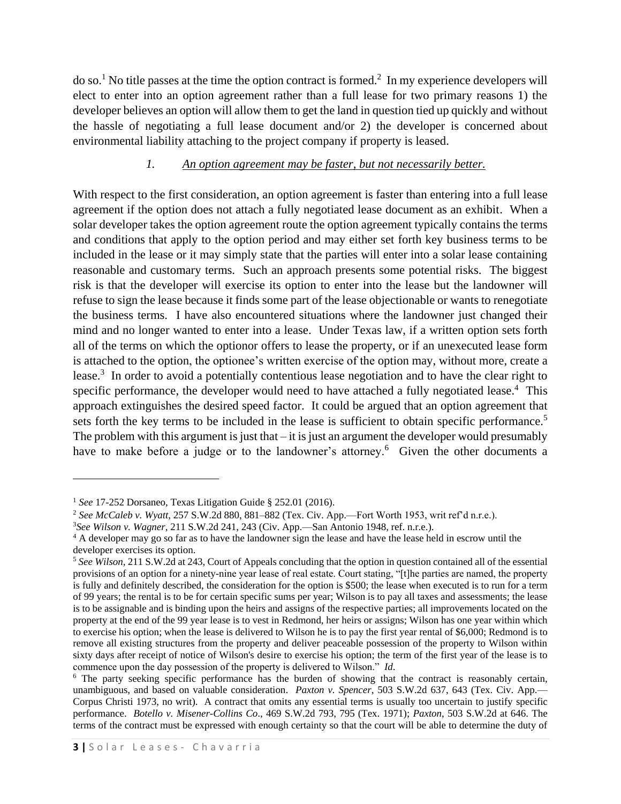do so.<sup>1</sup> No title passes at the time the option contract is formed.<sup>2</sup> In my experience developers will elect to enter into an option agreement rather than a full lease for two primary reasons 1) the developer believes an option will allow them to get the land in question tied up quickly and without the hassle of negotiating a full lease document and/or 2) the developer is concerned about environmental liability attaching to the project company if property is leased.

#### *1. An option agreement may be faster, but not necessarily better.*

<span id="page-3-0"></span>With respect to the first consideration, an option agreement is faster than entering into a full lease agreement if the option does not attach a fully negotiated lease document as an exhibit. When a solar developer takes the option agreement route the option agreement typically contains the terms and conditions that apply to the option period and may either set forth key business terms to be included in the lease or it may simply state that the parties will enter into a solar lease containing reasonable and customary terms. Such an approach presents some potential risks. The biggest risk is that the developer will exercise its option to enter into the lease but the landowner will refuse to sign the lease because it finds some part of the lease objectionable or wants to renegotiate the business terms. I have also encountered situations where the landowner just changed their mind and no longer wanted to enter into a lease. Under Texas law, if a written option sets forth all of the terms on which the optionor offers to lease the property, or if an unexecuted lease form is attached to the option, the optionee's written exercise of the option may, without more, create a lease.<sup>3</sup> In order to avoid a potentially contentious lease negotiation and to have the clear right to specific performance, the developer would need to have attached a fully negotiated lease.<sup>4</sup> This approach extinguishes the desired speed factor. It could be argued that an option agreement that sets forth the key terms to be included in the lease is sufficient to obtain specific performance.<sup>5</sup> The problem with this argument is just that  $-i$  it is just an argument the developer would presumably have to make before a judge or to the landowner's attorney.<sup>6</sup> Given the other documents a

 $\overline{\phantom{a}}$ 

<sup>1</sup> *See* 17-252 Dorsaneo, Texas Litigation Guide § 252.01 (2016).

<sup>2</sup> *See McCaleb v. Wyatt*, 257 S.W.2d 880, 881–882 (Tex. Civ. App.—Fort Worth 1953, writ ref'd n.r.e.).

<sup>3</sup>*See Wilson v. Wagner*, 211 S.W.2d 241, 243 (Civ. App.—San Antonio 1948, ref. n.r.e.).

<sup>4</sup> A developer may go so far as to have the landowner sign the lease and have the lease held in escrow until the developer exercises its option.

<sup>5</sup> *See Wilson,* 211 S.W.2d at 243, Court of Appeals concluding that the option in question contained all of the essential provisions of an option for a ninety-nine year lease of real estate. Court stating, "[t]he parties are named, the property is fully and definitely described, the consideration for the option is \$500; the lease when executed is to run for a term of 99 years; the rental is to be for certain specific sums per year; Wilson is to pay all taxes and assessments; the lease is to be assignable and is binding upon the heirs and assigns of the respective parties; all improvements located on the property at the end of the 99 year lease is to vest in Redmond, her heirs or assigns; Wilson has one year within which to exercise his option; when the lease is delivered to Wilson he is to pay the first year rental of \$6,000; Redmond is to remove all existing structures from the property and deliver peaceable possession of the property to Wilson within sixty days after receipt of notice of Wilson's desire to exercise his option; the term of the first year of the lease is to commence upon the day possession of the property is delivered to Wilson." *Id*.

<sup>&</sup>lt;sup>6</sup> The party seeking specific performance has the burden of showing that the contract is reasonably certain, unambiguous, and based on valuable consideration. *Paxton v. Spencer*, 503 S.W.2d 637, 643 (Tex. Civ. App.— Corpus Christi 1973, no writ). A contract that omits any essential terms is usually too uncertain to justify specific performance. *Botello v. Misener-Collins Co*., 469 S.W.2d 793, 795 (Tex. 1971); *Paxton*, 503 S.W.2d at 646. The terms of the contract must be expressed with enough certainty so that the court will be able to determine the duty of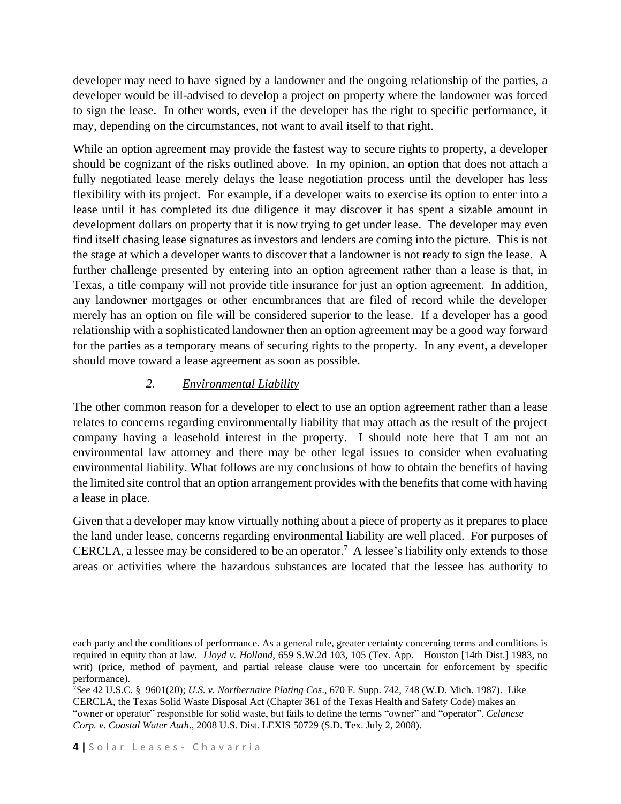developer may need to have signed by a landowner and the ongoing relationship of the parties, a developer would be ill-advised to develop a project on property where the landowner was forced to sign the lease. In other words, even if the developer has the right to specific performance, it may, depending on the circumstances, not want to avail itself to that right.

While an option agreement may provide the fastest way to secure rights to property, a developer should be cognizant of the risks outlined above. In my opinion, an option that does not attach a fully negotiated lease merely delays the lease negotiation process until the developer has less flexibility with its project. For example, if a developer waits to exercise its option to enter into a lease until it has completed its due diligence it may discover it has spent a sizable amount in development dollars on property that it is now trying to get under lease. The developer may even find itself chasing lease signatures as investors and lenders are coming into the picture. This is not the stage at which a developer wants to discover that a landowner is not ready to sign the lease. A further challenge presented by entering into an option agreement rather than a lease is that, in Texas, a title company will not provide title insurance for just an option agreement. In addition, any landowner mortgages or other encumbrances that are filed of record while the developer merely has an option on file will be considered superior to the lease. If a developer has a good relationship with a sophisticated landowner then an option agreement may be a good way forward for the parties as a temporary means of securing rights to the property. In any event, a developer should move toward a lease agreement as soon as possible.

## *2. Environmental Liability*

<span id="page-4-0"></span>The other common reason for a developer to elect to use an option agreement rather than a lease relates to concerns regarding environmentally liability that may attach as the result of the project company having a leasehold interest in the property. I should note here that I am not an environmental law attorney and there may be other legal issues to consider when evaluating environmental liability. What follows are my conclusions of how to obtain the benefits of having the limited site control that an option arrangement provides with the benefits that come with having a lease in place.

Given that a developer may know virtually nothing about a piece of property as it prepares to place the land under lease, concerns regarding environmental liability are well placed. For purposes of CERCLA, a lessee may be considered to be an operator.<sup>7</sup> A lessee's liability only extends to those areas or activities where the hazardous substances are located that the lessee has authority to

 $\overline{a}$ 

each party and the conditions of performance. As a general rule, greater certainty concerning terms and conditions is required in equity than at law. *Lloyd v. Holland*, 659 S.W.2d 103, 105 (Tex. App.—Houston [14th Dist.] 1983, no writ) (price, method of payment, and partial release clause were too uncertain for enforcement by specific performance).

<sup>7</sup>*See* 42 U.S.C. § 9601(20); *U.S. v. Northernaire Plating Cos*., 670 F. Supp. 742, 748 (W.D. Mich. 1987). Like CERCLA, the Texas Solid Waste Disposal Act (Chapter 361 of the Texas Health and Safety Code) makes an "owner or operator" responsible for solid waste, but fails to define the terms "owner" and "operator". *Celanese Corp. v. Coastal Water Auth*., 2008 U.S. Dist. LEXIS 50729 (S.D. Tex. July 2, 2008).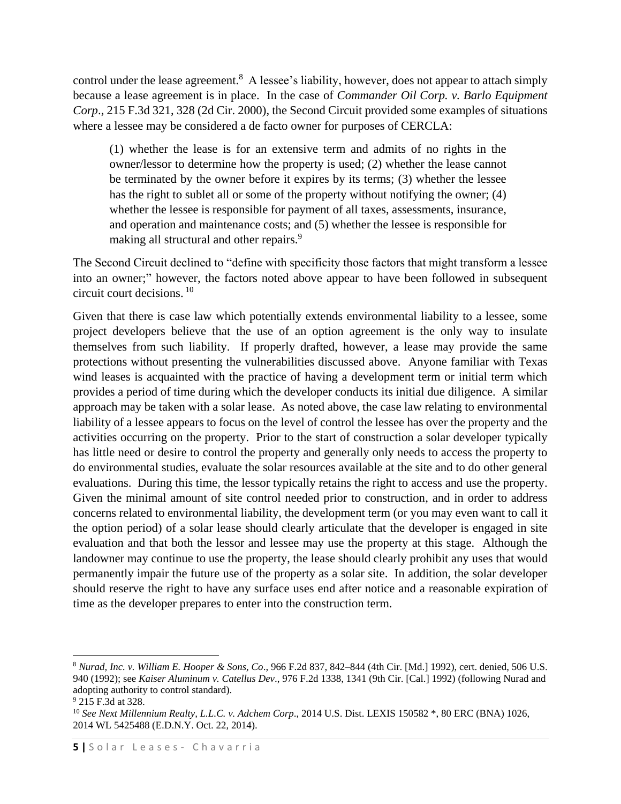control under the lease agreement.<sup>8</sup> A lessee's liability, however, does not appear to attach simply because a lease agreement is in place. In the case of *Commander Oil Corp. v. Barlo Equipment Corp*., 215 F.3d 321, 328 (2d Cir. 2000), the Second Circuit provided some examples of situations where a lessee may be considered a de facto owner for purposes of CERCLA:

(1) whether the lease is for an extensive term and admits of no rights in the owner/lessor to determine how the property is used; (2) whether the lease cannot be terminated by the owner before it expires by its terms; (3) whether the lessee has the right to sublet all or some of the property without notifying the owner; (4) whether the lessee is responsible for payment of all taxes, assessments, insurance, and operation and maintenance costs; and (5) whether the lessee is responsible for making all structural and other repairs.<sup>9</sup>

The Second Circuit declined to "define with specificity those factors that might transform a lessee into an owner;" however, the factors noted above appear to have been followed in subsequent circuit court decisions. 10

Given that there is case law which potentially extends environmental liability to a lessee, some project developers believe that the use of an option agreement is the only way to insulate themselves from such liability. If properly drafted, however, a lease may provide the same protections without presenting the vulnerabilities discussed above. Anyone familiar with Texas wind leases is acquainted with the practice of having a development term or initial term which provides a period of time during which the developer conducts its initial due diligence. A similar approach may be taken with a solar lease. As noted above, the case law relating to environmental liability of a lessee appears to focus on the level of control the lessee has over the property and the activities occurring on the property. Prior to the start of construction a solar developer typically has little need or desire to control the property and generally only needs to access the property to do environmental studies, evaluate the solar resources available at the site and to do other general evaluations. During this time, the lessor typically retains the right to access and use the property. Given the minimal amount of site control needed prior to construction, and in order to address concerns related to environmental liability, the development term (or you may even want to call it the option period) of a solar lease should clearly articulate that the developer is engaged in site evaluation and that both the lessor and lessee may use the property at this stage. Although the landowner may continue to use the property, the lease should clearly prohibit any uses that would permanently impair the future use of the property as a solar site. In addition, the solar developer should reserve the right to have any surface uses end after notice and a reasonable expiration of time as the developer prepares to enter into the construction term.

 $\overline{\phantom{a}}$ 

<sup>8</sup> *Nurad, Inc. v. William E. Hooper & Sons, Co*., 966 F.2d 837, 842–844 (4th Cir. [Md.] 1992), cert. denied, 506 U.S. 940 (1992); see *Kaiser Aluminum v. Catellus Dev*., 976 F.2d 1338, 1341 (9th Cir. [Cal.] 1992) (following Nurad and adopting authority to control standard).

<sup>&</sup>lt;sup>9</sup> 215 F.3d at 328.

<sup>10</sup> *See Next Millennium Realty, L.L.C. v. Adchem Corp*., 2014 U.S. Dist. LEXIS 150582 \*, 80 ERC (BNA) 1026, 2014 WL 5425488 (E.D.N.Y. Oct. 22, 2014).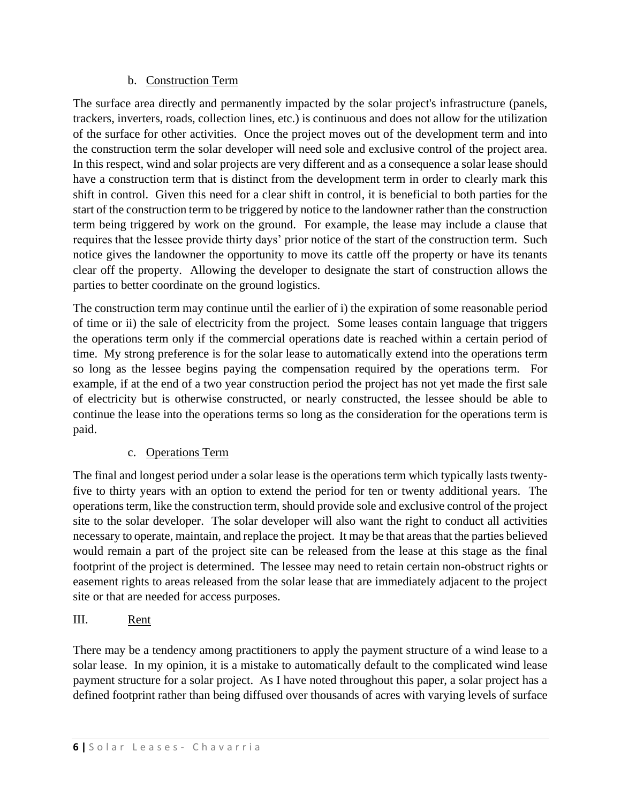### b. Construction Term

<span id="page-6-0"></span>The surface area directly and permanently impacted by the solar project's infrastructure (panels, trackers, inverters, roads, collection lines, etc.) is continuous and does not allow for the utilization of the surface for other activities. Once the project moves out of the development term and into the construction term the solar developer will need sole and exclusive control of the project area. In this respect, wind and solar projects are very different and as a consequence a solar lease should have a construction term that is distinct from the development term in order to clearly mark this shift in control. Given this need for a clear shift in control, it is beneficial to both parties for the start of the construction term to be triggered by notice to the landowner rather than the construction term being triggered by work on the ground. For example, the lease may include a clause that requires that the lessee provide thirty days' prior notice of the start of the construction term. Such notice gives the landowner the opportunity to move its cattle off the property or have its tenants clear off the property. Allowing the developer to designate the start of construction allows the parties to better coordinate on the ground logistics.

The construction term may continue until the earlier of i) the expiration of some reasonable period of time or ii) the sale of electricity from the project. Some leases contain language that triggers the operations term only if the commercial operations date is reached within a certain period of time. My strong preference is for the solar lease to automatically extend into the operations term so long as the lessee begins paying the compensation required by the operations term. For example, if at the end of a two year construction period the project has not yet made the first sale of electricity but is otherwise constructed, or nearly constructed, the lessee should be able to continue the lease into the operations terms so long as the consideration for the operations term is paid.

## c. Operations Term

<span id="page-6-1"></span>The final and longest period under a solar lease is the operations term which typically lasts twentyfive to thirty years with an option to extend the period for ten or twenty additional years. The operations term, like the construction term, should provide sole and exclusive control of the project site to the solar developer. The solar developer will also want the right to conduct all activities necessary to operate, maintain, and replace the project. It may be that areas that the parties believed would remain a part of the project site can be released from the lease at this stage as the final footprint of the project is determined. The lessee may need to retain certain non-obstruct rights or easement rights to areas released from the solar lease that are immediately adjacent to the project site or that are needed for access purposes.

## <span id="page-6-2"></span>III. Rent

There may be a tendency among practitioners to apply the payment structure of a wind lease to a solar lease. In my opinion, it is a mistake to automatically default to the complicated wind lease payment structure for a solar project. As I have noted throughout this paper, a solar project has a defined footprint rather than being diffused over thousands of acres with varying levels of surface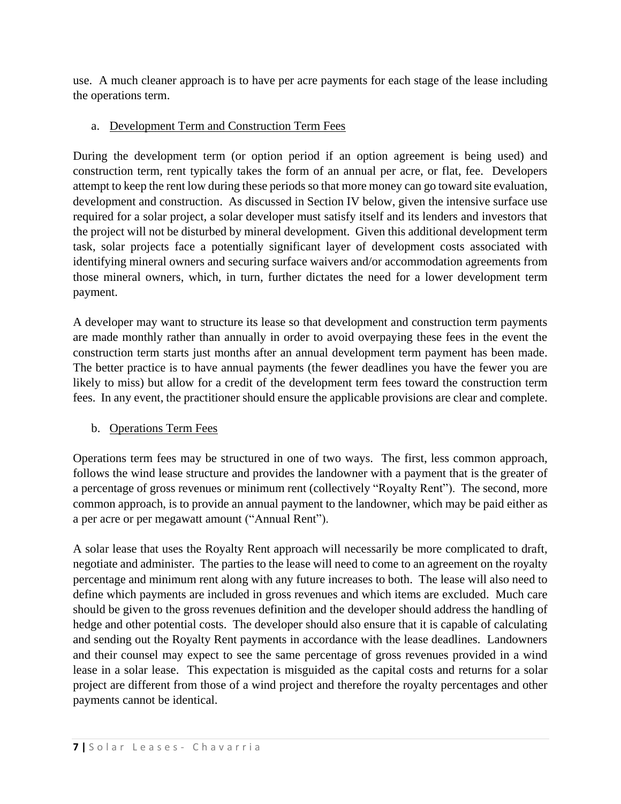use. A much cleaner approach is to have per acre payments for each stage of the lease including the operations term.

## <span id="page-7-0"></span>a. Development Term and Construction Term Fees

During the development term (or option period if an option agreement is being used) and construction term, rent typically takes the form of an annual per acre, or flat, fee. Developers attempt to keep the rent low during these periods so that more money can go toward site evaluation, development and construction. As discussed in Section IV below, given the intensive surface use required for a solar project, a solar developer must satisfy itself and its lenders and investors that the project will not be disturbed by mineral development. Given this additional development term task, solar projects face a potentially significant layer of development costs associated with identifying mineral owners and securing surface waivers and/or accommodation agreements from those mineral owners, which, in turn, further dictates the need for a lower development term payment.

A developer may want to structure its lease so that development and construction term payments are made monthly rather than annually in order to avoid overpaying these fees in the event the construction term starts just months after an annual development term payment has been made. The better practice is to have annual payments (the fewer deadlines you have the fewer you are likely to miss) but allow for a credit of the development term fees toward the construction term fees. In any event, the practitioner should ensure the applicable provisions are clear and complete.

## <span id="page-7-1"></span>b. Operations Term Fees

Operations term fees may be structured in one of two ways. The first, less common approach, follows the wind lease structure and provides the landowner with a payment that is the greater of a percentage of gross revenues or minimum rent (collectively "Royalty Rent"). The second, more common approach, is to provide an annual payment to the landowner, which may be paid either as a per acre or per megawatt amount ("Annual Rent").

A solar lease that uses the Royalty Rent approach will necessarily be more complicated to draft, negotiate and administer. The parties to the lease will need to come to an agreement on the royalty percentage and minimum rent along with any future increases to both. The lease will also need to define which payments are included in gross revenues and which items are excluded. Much care should be given to the gross revenues definition and the developer should address the handling of hedge and other potential costs. The developer should also ensure that it is capable of calculating and sending out the Royalty Rent payments in accordance with the lease deadlines. Landowners and their counsel may expect to see the same percentage of gross revenues provided in a wind lease in a solar lease. This expectation is misguided as the capital costs and returns for a solar project are different from those of a wind project and therefore the royalty percentages and other payments cannot be identical.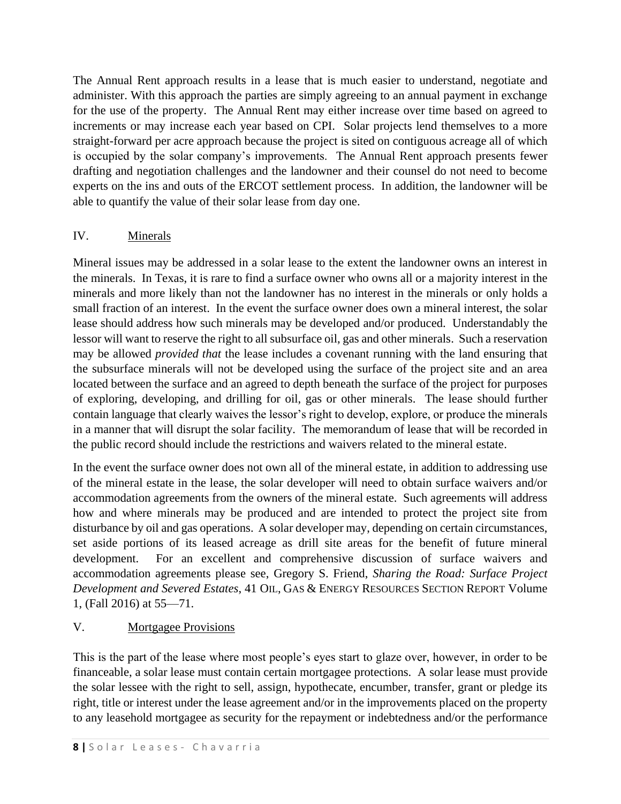The Annual Rent approach results in a lease that is much easier to understand, negotiate and administer. With this approach the parties are simply agreeing to an annual payment in exchange for the use of the property. The Annual Rent may either increase over time based on agreed to increments or may increase each year based on CPI. Solar projects lend themselves to a more straight-forward per acre approach because the project is sited on contiguous acreage all of which is occupied by the solar company's improvements. The Annual Rent approach presents fewer drafting and negotiation challenges and the landowner and their counsel do not need to become experts on the ins and outs of the ERCOT settlement process. In addition, the landowner will be able to quantify the value of their solar lease from day one.

## <span id="page-8-0"></span>IV. Minerals

Mineral issues may be addressed in a solar lease to the extent the landowner owns an interest in the minerals. In Texas, it is rare to find a surface owner who owns all or a majority interest in the minerals and more likely than not the landowner has no interest in the minerals or only holds a small fraction of an interest. In the event the surface owner does own a mineral interest, the solar lease should address how such minerals may be developed and/or produced. Understandably the lessor will want to reserve the right to all subsurface oil, gas and other minerals. Such a reservation may be allowed *provided that* the lease includes a covenant running with the land ensuring that the subsurface minerals will not be developed using the surface of the project site and an area located between the surface and an agreed to depth beneath the surface of the project for purposes of exploring, developing, and drilling for oil, gas or other minerals. The lease should further contain language that clearly waives the lessor's right to develop, explore, or produce the minerals in a manner that will disrupt the solar facility. The memorandum of lease that will be recorded in the public record should include the restrictions and waivers related to the mineral estate.

In the event the surface owner does not own all of the mineral estate, in addition to addressing use of the mineral estate in the lease, the solar developer will need to obtain surface waivers and/or accommodation agreements from the owners of the mineral estate. Such agreements will address how and where minerals may be produced and are intended to protect the project site from disturbance by oil and gas operations. A solar developer may, depending on certain circumstances, set aside portions of its leased acreage as drill site areas for the benefit of future mineral development. For an excellent and comprehensive discussion of surface waivers and accommodation agreements please see, Gregory S. Friend, *Sharing the Road: Surface Project Development and Severed Estates*, 41 OIL, GAS & ENERGY RESOURCES SECTION REPORT Volume 1, (Fall 2016) at 55—71.

## <span id="page-8-1"></span>V. Mortgagee Provisions

This is the part of the lease where most people's eyes start to glaze over, however, in order to be financeable, a solar lease must contain certain mortgagee protections. A solar lease must provide the solar lessee with the right to sell, assign, hypothecate, encumber, transfer, grant or pledge its right, title or interest under the lease agreement and/or in the improvements placed on the property to any leasehold mortgagee as security for the repayment or indebtedness and/or the performance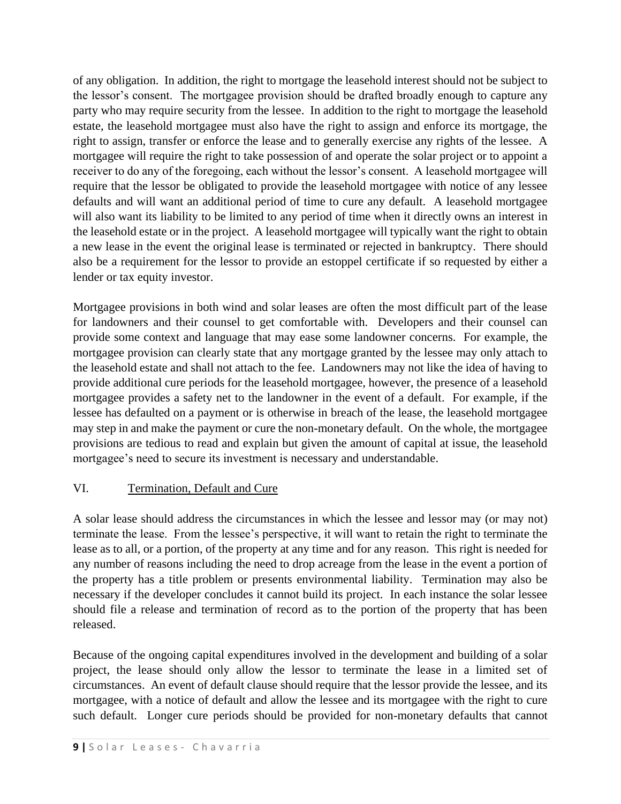of any obligation. In addition, the right to mortgage the leasehold interest should not be subject to the lessor's consent. The mortgagee provision should be drafted broadly enough to capture any party who may require security from the lessee. In addition to the right to mortgage the leasehold estate, the leasehold mortgagee must also have the right to assign and enforce its mortgage, the right to assign, transfer or enforce the lease and to generally exercise any rights of the lessee. A mortgagee will require the right to take possession of and operate the solar project or to appoint a receiver to do any of the foregoing, each without the lessor's consent. A leasehold mortgagee will require that the lessor be obligated to provide the leasehold mortgagee with notice of any lessee defaults and will want an additional period of time to cure any default. A leasehold mortgagee will also want its liability to be limited to any period of time when it directly owns an interest in the leasehold estate or in the project. A leasehold mortgagee will typically want the right to obtain a new lease in the event the original lease is terminated or rejected in bankruptcy. There should also be a requirement for the lessor to provide an estoppel certificate if so requested by either a lender or tax equity investor.

Mortgagee provisions in both wind and solar leases are often the most difficult part of the lease for landowners and their counsel to get comfortable with. Developers and their counsel can provide some context and language that may ease some landowner concerns. For example, the mortgagee provision can clearly state that any mortgage granted by the lessee may only attach to the leasehold estate and shall not attach to the fee. Landowners may not like the idea of having to provide additional cure periods for the leasehold mortgagee, however, the presence of a leasehold mortgagee provides a safety net to the landowner in the event of a default. For example, if the lessee has defaulted on a payment or is otherwise in breach of the lease, the leasehold mortgagee may step in and make the payment or cure the non-monetary default. On the whole, the mortgagee provisions are tedious to read and explain but given the amount of capital at issue, the leasehold mortgagee's need to secure its investment is necessary and understandable.

## <span id="page-9-0"></span>VI. Termination, Default and Cure

A solar lease should address the circumstances in which the lessee and lessor may (or may not) terminate the lease. From the lessee's perspective, it will want to retain the right to terminate the lease as to all, or a portion, of the property at any time and for any reason. This right is needed for any number of reasons including the need to drop acreage from the lease in the event a portion of the property has a title problem or presents environmental liability. Termination may also be necessary if the developer concludes it cannot build its project. In each instance the solar lessee should file a release and termination of record as to the portion of the property that has been released.

Because of the ongoing capital expenditures involved in the development and building of a solar project, the lease should only allow the lessor to terminate the lease in a limited set of circumstances. An event of default clause should require that the lessor provide the lessee, and its mortgagee, with a notice of default and allow the lessee and its mortgagee with the right to cure such default. Longer cure periods should be provided for non-monetary defaults that cannot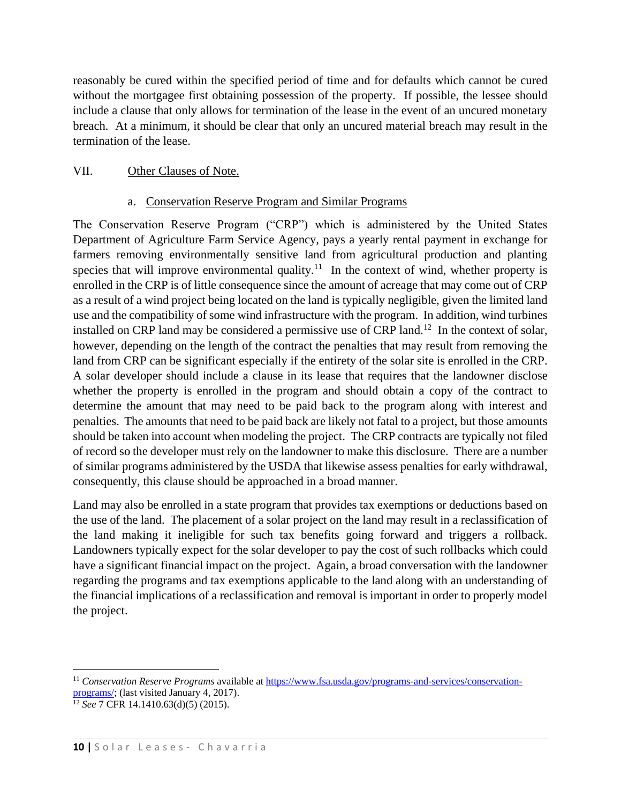reasonably be cured within the specified period of time and for defaults which cannot be cured without the mortgagee first obtaining possession of the property. If possible, the lessee should include a clause that only allows for termination of the lease in the event of an uncured monetary breach. At a minimum, it should be clear that only an uncured material breach may result in the termination of the lease.

#### <span id="page-10-0"></span>VII. Other Clauses of Note.

#### a. Conservation Reserve Program and Similar Programs

<span id="page-10-1"></span>The Conservation Reserve Program ("CRP") which is administered by the United States Department of Agriculture Farm Service Agency, pays a yearly rental payment in exchange for farmers removing environmentally sensitive land from agricultural production and planting species that will improve environmental quality.<sup>11</sup> In the context of wind, whether property is enrolled in the CRP is of little consequence since the amount of acreage that may come out of CRP as a result of a wind project being located on the land is typically negligible, given the limited land use and the compatibility of some wind infrastructure with the program. In addition, wind turbines installed on CRP land may be considered a permissive use of CRP land.<sup>12</sup> In the context of solar, however, depending on the length of the contract the penalties that may result from removing the land from CRP can be significant especially if the entirety of the solar site is enrolled in the CRP. A solar developer should include a clause in its lease that requires that the landowner disclose whether the property is enrolled in the program and should obtain a copy of the contract to determine the amount that may need to be paid back to the program along with interest and penalties. The amounts that need to be paid back are likely not fatal to a project, but those amounts should be taken into account when modeling the project. The CRP contracts are typically not filed of record so the developer must rely on the landowner to make this disclosure. There are a number of similar programs administered by the USDA that likewise assess penalties for early withdrawal, consequently, this clause should be approached in a broad manner.

Land may also be enrolled in a state program that provides tax exemptions or deductions based on the use of the land. The placement of a solar project on the land may result in a reclassification of the land making it ineligible for such tax benefits going forward and triggers a rollback. Landowners typically expect for the solar developer to pay the cost of such rollbacks which could have a significant financial impact on the project. Again, a broad conversation with the landowner regarding the programs and tax exemptions applicable to the land along with an understanding of the financial implications of a reclassification and removal is important in order to properly model the project.

 $\overline{a}$ <sup>11</sup> Conservation Reserve Programs available at [https://www.fsa.usda.gov/programs-and-services/conservation](https://www.fsa.usda.gov/programs-and-services/conservation-programs/)[programs/;](https://www.fsa.usda.gov/programs-and-services/conservation-programs/) (last visited January 4, 2017).

<sup>12</sup> *See* 7 CFR 14.1410.63(d)(5) (2015).